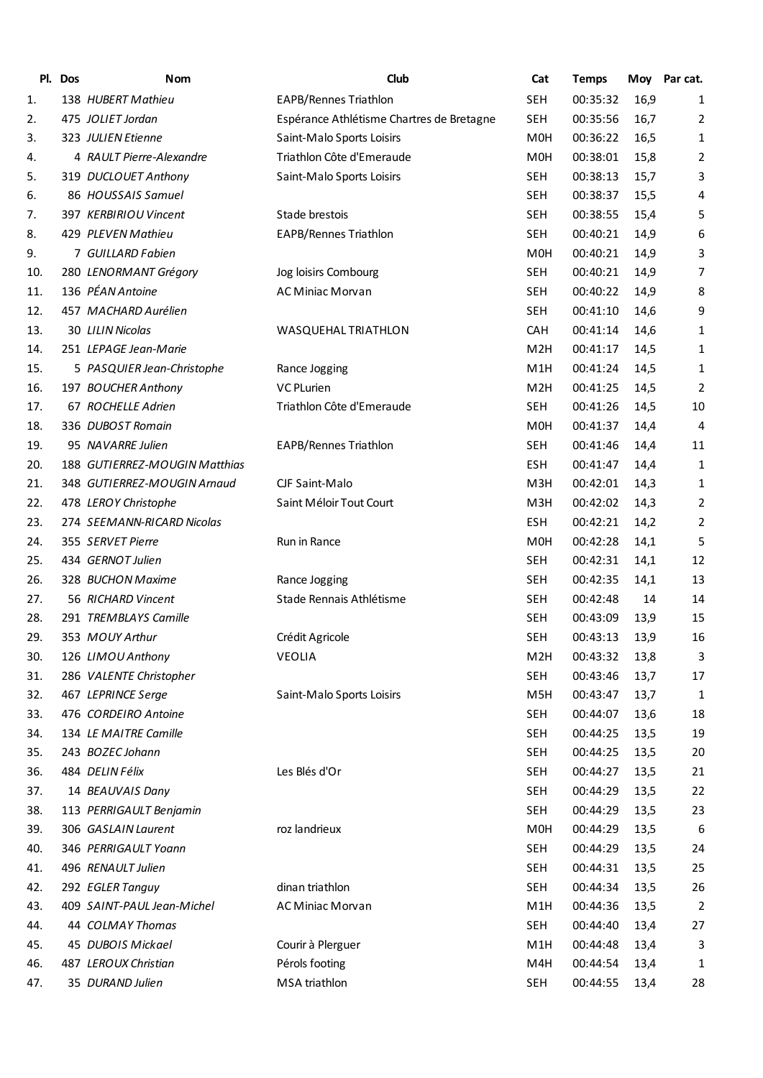| PI. | <b>Dos</b> | <b>Nom</b>                    | Club                                      | Cat              | <b>Temps</b> |      | Moy Par cat.            |
|-----|------------|-------------------------------|-------------------------------------------|------------------|--------------|------|-------------------------|
| 1.  |            | 138 HUBERT Mathieu            | <b>EAPB/Rennes Triathlon</b>              | <b>SEH</b>       | 00:35:32     | 16,9 | 1                       |
| 2.  |            | 475 JOLIET Jordan             | Espérance Athlétisme Chartres de Bretagne | <b>SEH</b>       | 00:35:56     | 16,7 | 2                       |
| 3.  |            | 323 JULIEN Etienne            | Saint-Malo Sports Loisirs                 | M <sub>0</sub> H | 00:36:22     | 16,5 | 1                       |
| 4.  |            | 4 RAULT Pierre-Alexandre      | Triathlon Côte d'Emeraude                 | M <sub>0</sub> H | 00:38:01     | 15,8 | 2                       |
| 5.  |            | 319 DUCLOUET Anthony          | Saint-Malo Sports Loisirs                 | <b>SEH</b>       | 00:38:13     | 15,7 | 3                       |
| 6.  |            | 86 HOUSSAIS Samuel            |                                           | <b>SEH</b>       | 00:38:37     | 15,5 | 4                       |
| 7.  |            | 397 KERBIRIOU Vincent         | Stade brestois                            | <b>SEH</b>       | 00:38:55     | 15,4 | 5                       |
| 8.  |            | 429 PLEVEN Mathieu            | EAPB/Rennes Triathlon                     | <b>SEH</b>       | 00:40:21     | 14,9 | 6                       |
| 9.  |            | 7 GUILLARD Fabien             |                                           | M <sub>0</sub> H | 00:40:21     | 14,9 | 3                       |
| 10. |            | 280 LENORMANT Grégory         | Jog loisirs Combourg                      | <b>SEH</b>       | 00:40:21     | 14,9 | 7                       |
| 11. |            | 136 PÉAN Antoine              | AC Miniac Morvan                          | <b>SEH</b>       | 00:40:22     | 14,9 | 8                       |
| 12. |            | 457 MACHARD Aurélien          |                                           | <b>SEH</b>       | 00:41:10     | 14,6 | 9                       |
| 13. |            | 30 LILIN Nicolas              | WASQUEHAL TRIATHLON                       | <b>CAH</b>       | 00:41:14     | 14,6 | 1                       |
| 14. |            | 251 LEPAGE Jean-Marie         |                                           | M <sub>2</sub> H | 00:41:17     | 14,5 | 1                       |
| 15. |            | 5 PASQUIER Jean-Christophe    | Rance Jogging                             | M <sub>1</sub> H | 00:41:24     | 14,5 | 1                       |
| 16. |            | 197 BOUCHER Anthony           | <b>VC PLurien</b>                         | M <sub>2</sub> H | 00:41:25     | 14,5 | 2                       |
| 17. |            | 67 ROCHELLE Adrien            | Triathlon Côte d'Emeraude                 | <b>SEH</b>       | 00:41:26     | 14,5 | 10                      |
| 18. |            | 336 DUBOST Romain             |                                           | M <sub>0</sub> H | 00:41:37     | 14,4 | 4                       |
| 19. |            | 95 NAVARRE Julien             | EAPB/Rennes Triathlon                     | <b>SEH</b>       | 00:41:46     | 14,4 | 11                      |
| 20. |            | 188 GUTIERREZ-MOUGIN Matthias |                                           | <b>ESH</b>       | 00:41:47     | 14,4 | 1                       |
| 21. |            | 348 GUTIERREZ-MOUGIN Arnaud   | CJF Saint-Malo                            | M3H              | 00:42:01     | 14,3 | 1                       |
| 22. |            | 478 LEROY Christophe          | Saint Méloir Tout Court                   | M3H              | 00:42:02     | 14,3 | 2                       |
| 23. |            | 274 SEEMANN-RICARD Nicolas    |                                           | <b>ESH</b>       | 00:42:21     | 14,2 | 2                       |
| 24. |            | 355 SERVET Pierre             | Run in Rance                              | M <sub>0</sub> H | 00:42:28     | 14,1 | 5                       |
| 25. |            | 434 GERNOT Julien             |                                           | <b>SEH</b>       | 00:42:31     | 14,1 | 12                      |
| 26. |            | 328 BUCHON Maxime             | Rance Jogging                             | <b>SEH</b>       | 00:42:35     | 14,1 | 13                      |
| 27. |            | 56 RICHARD Vincent            | Stade Rennais Athlétisme                  | <b>SEH</b>       | 00:42:48     | 14   | 14                      |
| 28. |            | 291 TREMBLAYS Camille         |                                           | <b>SEH</b>       | 00:43:09     | 13,9 | 15                      |
| 29. |            | 353 MOUY Arthur               | Crédit Agricole                           | <b>SEH</b>       | 00:43:13     | 13,9 | 16                      |
| 30. |            | 126 LIMOU Anthony             | VEOLIA                                    | M <sub>2</sub> H | 00:43:32     | 13,8 | 3                       |
| 31. |            | 286 VALENTE Christopher       |                                           | <b>SEH</b>       | 00:43:46     | 13,7 | 17                      |
| 32. |            | 467 LEPRINCE Serge            | Saint-Malo Sports Loisirs                 | M5H              | 00:43:47     | 13,7 | 1                       |
| 33. |            | 476 CORDEIRO Antoine          |                                           | <b>SEH</b>       | 00:44:07     | 13,6 | 18                      |
| 34. |            | 134 LE MAITRE Camille         |                                           | <b>SEH</b>       | 00:44:25     | 13,5 | 19                      |
| 35. |            | 243 BOZEC Johann              |                                           | <b>SEH</b>       | 00:44:25     | 13,5 | 20                      |
| 36. |            | 484 DELIN Félix               | Les Blés d'Or                             | <b>SEH</b>       | 00:44:27     | 13,5 | 21                      |
| 37. |            | 14 BEAUVAIS Dany              |                                           | <b>SEH</b>       | 00:44:29     | 13,5 | 22                      |
| 38. |            | 113 PERRIGAULT Benjamin       |                                           | SEH              | 00:44:29     | 13,5 | 23                      |
| 39. |            | 306 GASLAIN Laurent           | roz landrieux                             | M0H              | 00:44:29     | 13,5 | 6                       |
| 40. |            | 346 PERRIGAULT Yoann          |                                           | <b>SEH</b>       | 00:44:29     | 13,5 | 24                      |
| 41. |            | 496 RENAULT Julien            |                                           | <b>SEH</b>       | 00:44:31     | 13,5 | 25                      |
| 42. |            | 292 EGLER Tanguy              | dinan triathlon                           | SEH              | 00:44:34     | 13,5 | 26                      |
| 43. |            | 409 SAINT-PAUL Jean-Michel    | AC Miniac Morvan                          | M1H              | 00:44:36     | 13,5 | $\overline{\mathbf{c}}$ |
| 44. |            | 44 COLMAY Thomas              |                                           | <b>SEH</b>       | 00:44:40     | 13,4 | 27                      |
| 45. |            | 45 DUBOIS Mickael             | Courir à Plerguer                         | M1H              | 00:44:48     | 13,4 | 3                       |
| 46. |            | 487 LEROUX Christian          | Pérols footing                            | M4H              | 00:44:54     | 13,4 | 1                       |
| 47. |            | 35 DURAND Julien              | MSA triathlon                             | <b>SEH</b>       | 00:44:55     | 13,4 | 28                      |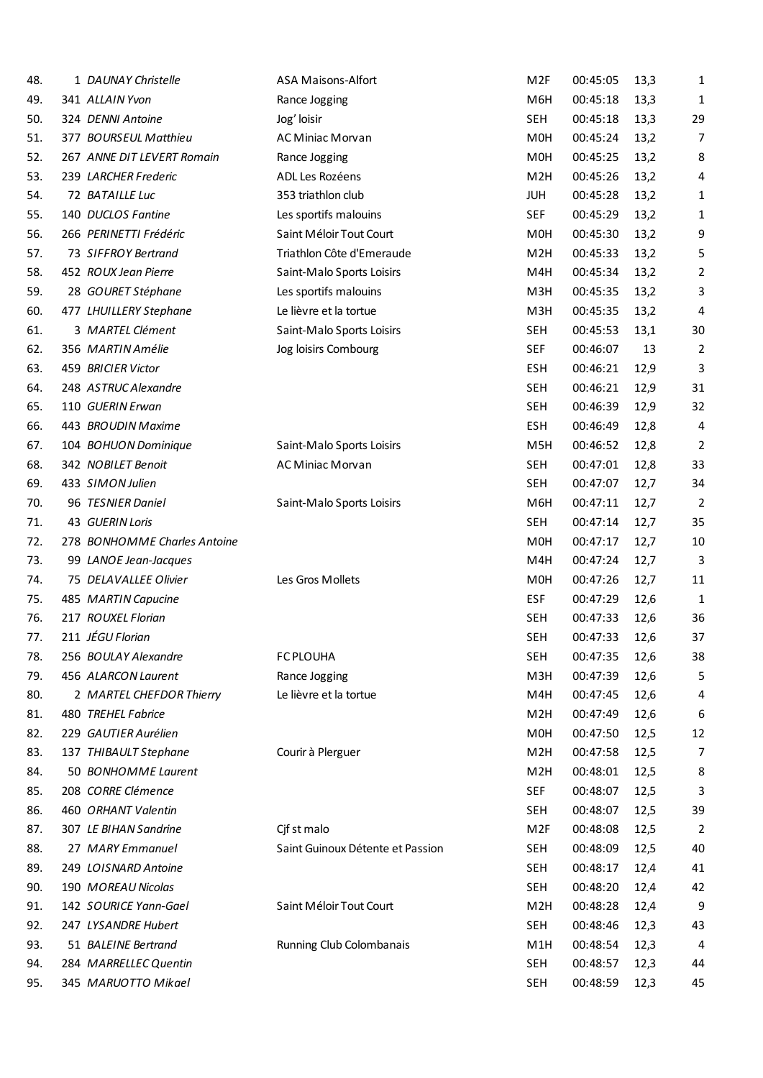| 48. | 1 DAUNAY Christelle          | ASA Maisons-Alfort               | M <sub>2F</sub>  | 00:45:05 | 13,3 | 1              |
|-----|------------------------------|----------------------------------|------------------|----------|------|----------------|
| 49. | 341 ALLAIN Yvon              | Rance Jogging                    | M6H              | 00:45:18 | 13,3 | 1              |
| 50. | 324 DENNI Antoine            | Jog' loisir                      | <b>SEH</b>       | 00:45:18 | 13,3 | 29             |
| 51. | 377 BOURSEUL Matthieu        | <b>AC Miniac Morvan</b>          | M <sub>0</sub> H | 00:45:24 | 13,2 | 7              |
| 52. | 267 ANNE DIT LEVERT Romain   | Rance Jogging                    | M <sub>0</sub> H | 00:45:25 | 13,2 | 8              |
| 53. | 239 LARCHER Frederic         | ADL Les Rozéens                  | M <sub>2</sub> H | 00:45:26 | 13,2 | 4              |
| 54. | 72 BATAILLE Luc              | 353 triathlon club               | <b>JUH</b>       | 00:45:28 | 13,2 | 1              |
| 55. | 140 DUCLOS Fantine           | Les sportifs malouins            | <b>SEF</b>       | 00:45:29 | 13,2 | 1              |
| 56. | 266 PERINETTI Frédéric       | Saint Méloir Tout Court          | M <sub>0</sub> H | 00:45:30 | 13,2 | 9              |
| 57. | 73 SIFFROY Bertrand          | Triathlon Côte d'Emeraude        | M <sub>2</sub> H | 00:45:33 | 13,2 | 5              |
| 58. | 452 ROUX Jean Pierre         | Saint-Malo Sports Loisirs        | M4H              | 00:45:34 | 13,2 | 2              |
| 59. | 28 GOURET Stéphane           | Les sportifs malouins            | M3H              | 00:45:35 | 13,2 | 3              |
| 60. | 477 LHUILLERY Stephane       | Le lièvre et la tortue           | M3H              | 00:45:35 | 13,2 | 4              |
| 61. | 3 MARTEL Clément             | Saint-Malo Sports Loisirs        | <b>SEH</b>       | 00:45:53 | 13,1 | 30             |
| 62. | 356 MARTIN Amélie            | Jog loisirs Combourg             | <b>SEF</b>       | 00:46:07 | 13   | 2              |
| 63. | 459 BRICIER Victor           |                                  | <b>ESH</b>       | 00:46:21 | 12,9 | 3              |
| 64. | 248 ASTRUC Alexandre         |                                  | <b>SEH</b>       | 00:46:21 | 12,9 | 31             |
| 65. | 110 GUERIN Erwan             |                                  | <b>SEH</b>       | 00:46:39 | 12,9 | 32             |
| 66. | 443 BROUDIN Maxime           |                                  | <b>ESH</b>       | 00:46:49 | 12,8 | 4              |
| 67. | 104 BOHUON Dominique         | Saint-Malo Sports Loisirs        | M5H              | 00:46:52 | 12,8 | 2              |
| 68. | 342 NOBILET Benoit           | AC Miniac Morvan                 | <b>SEH</b>       | 00:47:01 | 12,8 | 33             |
| 69. | 433 SIMON Julien             |                                  | <b>SEH</b>       | 00:47:07 | 12,7 | 34             |
| 70. | 96 TESNIER Daniel            | Saint-Malo Sports Loisirs        | M6H              | 00:47:11 | 12,7 | $\overline{2}$ |
| 71. | 43 GUERIN Loris              |                                  | <b>SEH</b>       | 00:47:14 | 12,7 | 35             |
| 72. | 278 BONHOMME Charles Antoine |                                  | M <sub>OH</sub>  | 00:47:17 | 12,7 | 10             |
| 73. | 99 LANOE Jean-Jacques        |                                  | M4H              | 00:47:24 | 12,7 | 3              |
| 74. | 75 DELAVALLEE Olivier        | Les Gros Mollets                 | M <sub>OH</sub>  | 00:47:26 | 12,7 | 11             |
| 75. | 485 MARTIN Capucine          |                                  | <b>ESF</b>       | 00:47:29 | 12,6 | 1              |
| 76. | 217 ROUXEL Florian           |                                  | <b>SEH</b>       | 00:47:33 | 12,6 | 36             |
| 77. | 211 JÉGU Florian             |                                  | <b>SEH</b>       | 00:47:33 | 12,6 | 37             |
| 78. | 256 BOULAY Alexandre         | <b>FC PLOUHA</b>                 | <b>SEH</b>       | 00:47:35 | 12,6 | 38             |
| 79. | 456 ALARCON Laurent          | Rance Jogging                    | M3H              | 00:47:39 | 12,6 | 5              |
| 80. | 2 MARTEL CHEFDOR Thierry     | Le lièvre et la tortue           | M4H              | 00:47:45 | 12,6 | 4              |
| 81. | 480 TREHEL Fabrice           |                                  | M <sub>2</sub> H | 00:47:49 | 12,6 | 6              |
| 82. | 229 GAUTIER Aurélien         |                                  | M0H              | 00:47:50 | 12,5 | 12             |
| 83. | 137 THIBAULT Stephane        | Courir à Plerguer                | M <sub>2</sub> H | 00:47:58 | 12,5 | 7              |
| 84. | 50 BONHOMME Laurent          |                                  | M <sub>2</sub> H | 00:48:01 | 12,5 | 8              |
| 85. | 208 CORRE Clémence           |                                  | SEF              | 00:48:07 | 12,5 | 3              |
| 86. | 460 ORHANT Valentin          |                                  | SEH              | 00:48:07 | 12,5 | 39             |
| 87. | 307 LE BIHAN Sandrine        | Cjf st malo                      | M <sub>2F</sub>  | 00:48:08 | 12,5 | 2              |
| 88. | 27 MARY Emmanuel             | Saint Guinoux Détente et Passion | SEH              | 00:48:09 | 12,5 | 40             |
| 89. | 249 LOISNARD Antoine         |                                  | <b>SEH</b>       | 00:48:17 | 12,4 | 41             |
| 90. | 190 MOREAU Nicolas           |                                  | SEH              | 00:48:20 | 12,4 | 42             |
| 91. | 142 SOURICE Yann-Gael        | Saint Méloir Tout Court          | M <sub>2</sub> H | 00:48:28 | 12,4 | 9              |
| 92. | 247 LYSANDRE Hubert          |                                  | <b>SEH</b>       | 00:48:46 | 12,3 | 43             |
| 93. | 51 BALEINE Bertrand          | Running Club Colombanais         | M1H              | 00:48:54 | 12,3 | 4              |
| 94. | 284 MARRELLEC Quentin        |                                  | <b>SEH</b>       | 00:48:57 | 12,3 | 44             |
| 95. | 345 MARUOTTO Mikael          |                                  | SEH              | 00:48:59 | 12,3 | 45             |
|     |                              |                                  |                  |          |      |                |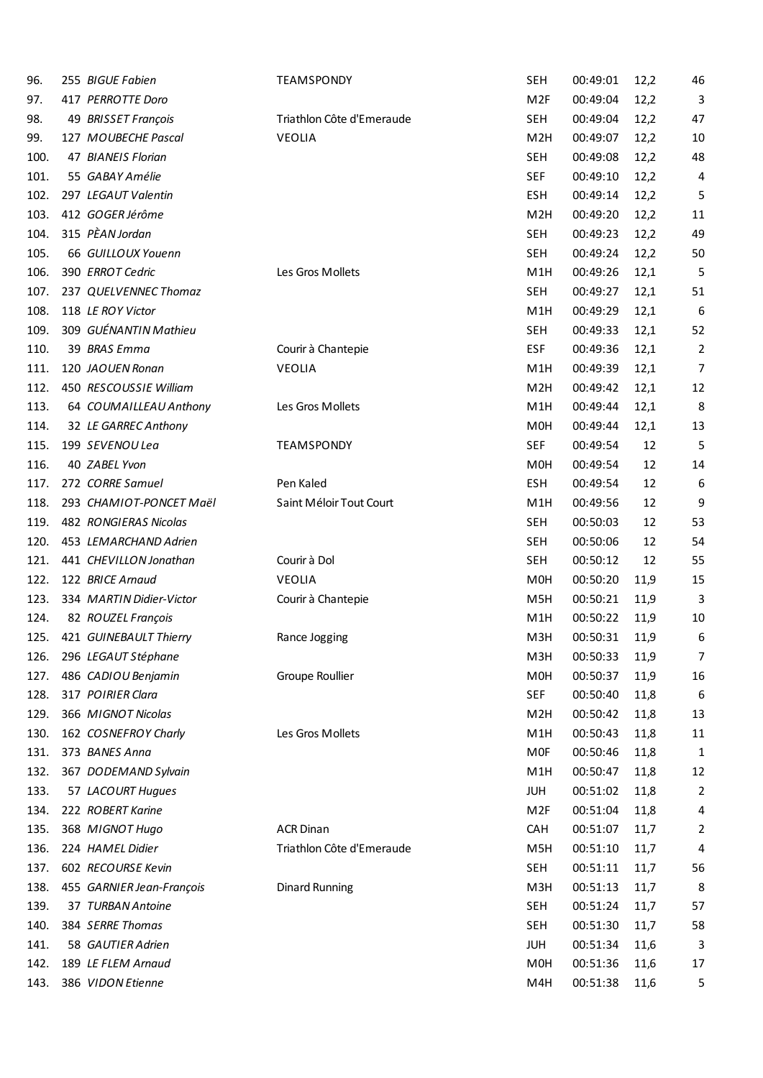| 96.  | 255 BIGUE Fabien          | <b>TEAMSPONDY</b>         | <b>SEH</b>       | 00:49:01 | 12,2 | 46             |
|------|---------------------------|---------------------------|------------------|----------|------|----------------|
| 97.  | 417 PERROTTE Doro         |                           | M <sub>2F</sub>  | 00:49:04 | 12,2 | 3              |
| 98.  | 49 BRISSET François       | Triathlon Côte d'Emeraude | <b>SEH</b>       | 00:49:04 | 12,2 | 47             |
| 99.  | 127 MOUBECHE Pascal       | <b>VEOLIA</b>             | M <sub>2</sub> H | 00:49:07 | 12,2 | 10             |
| 100. | 47 BIANEIS Florian        |                           | <b>SEH</b>       | 00:49:08 | 12,2 | 48             |
| 101. | 55 GABAY Amélie           |                           | <b>SEF</b>       | 00:49:10 | 12,2 | 4              |
| 102. | 297 LEGAUT Valentin       |                           | <b>ESH</b>       | 00:49:14 | 12,2 | 5              |
| 103. | 412 GOGER Jérôme          |                           | M <sub>2</sub> H | 00:49:20 | 12,2 | 11             |
| 104. | 315 PÈAN Jordan           |                           | <b>SEH</b>       | 00:49:23 | 12,2 | 49             |
| 105. | 66 GUILLOUX Youenn        |                           | <b>SEH</b>       | 00:49:24 | 12,2 | 50             |
| 106. | 390 ERROT Cedric          | Les Gros Mollets          | M <sub>1</sub> H | 00:49:26 | 12,1 | 5              |
| 107. | 237 QUELVENNEC Thomaz     |                           | <b>SEH</b>       | 00:49:27 | 12,1 | 51             |
| 108. | 118 LE ROY Victor         |                           | M1H              | 00:49:29 | 12,1 | 6              |
| 109. | 309 GUÉNANTIN Mathieu     |                           | <b>SEH</b>       | 00:49:33 | 12,1 | 52             |
| 110. | 39 BRAS Emma              | Courir à Chantepie        | <b>ESF</b>       | 00:49:36 | 12,1 | $\overline{2}$ |
| 111. | 120 JAOUEN Ronan          | <b>VEOLIA</b>             | M <sub>1</sub> H | 00:49:39 | 12,1 | 7              |
| 112. | 450 RESCOUSSIE William    |                           | M <sub>2</sub> H | 00:49:42 | 12,1 | 12             |
| 113. | 64 COUMAILLEAU Anthony    | Les Gros Mollets          | M <sub>1</sub> H | 00:49:44 | 12,1 | 8              |
| 114. | 32 LE GARREC Anthony      |                           | M <sub>0</sub> H | 00:49:44 | 12,1 | 13             |
| 115. | 199 SEVENOU Lea           | <b>TEAMSPONDY</b>         | <b>SEF</b>       | 00:49:54 | 12   | 5              |
| 116. | 40 ZABEL Yvon             |                           | M <sub>0</sub> H | 00:49:54 | 12   | 14             |
| 117. | 272 CORRE Samuel          | Pen Kaled                 | <b>ESH</b>       | 00:49:54 | 12   | 6              |
| 118. | 293 CHAMIOT-PONCET Maël   | Saint Méloir Tout Court   | M <sub>1</sub> H | 00:49:56 | 12   | 9              |
| 119. | 482 RONGIERAS Nicolas     |                           | <b>SEH</b>       | 00:50:03 | 12   | 53             |
| 120. | 453 LEMARCHAND Adrien     |                           | <b>SEH</b>       | 00:50:06 | 12   | 54             |
| 121. | 441 CHEVILLON Jonathan    | Courir à Dol              | <b>SEH</b>       | 00:50:12 | 12   | 55             |
| 122. | 122 BRICE Arnaud          | <b>VEOLIA</b>             | M0H              | 00:50:20 | 11,9 | 15             |
| 123. | 334 MARTIN Didier-Victor  | Courir à Chantepie        | M <sub>5</sub> H | 00:50:21 | 11,9 | 3              |
| 124. | 82 ROUZEL François        |                           | M <sub>1</sub> H | 00:50:22 | 11,9 | 10             |
| 125. | 421 GUINEBAULT Thierry    | Rance Jogging             | M3H              | 00:50:31 | 11,9 | 6              |
| 126. | 296 LEGAUT Stéphane       |                           | M3H              | 00:50:33 | 11,9 | 7              |
| 127. | 486 CADIOU Benjamin       | Groupe Roullier           | M <sub>OH</sub>  | 00:50:37 | 11,9 | 16             |
| 128. | 317 POIRIER Clara         |                           | <b>SEF</b>       | 00:50:40 | 11,8 | 6              |
| 129. | 366 MIGNOT Nicolas        |                           | M <sub>2</sub> H | 00:50:42 | 11,8 | 13             |
| 130. | 162 COSNEFROY Charly      | Les Gros Mollets          | M1H              | 00:50:43 | 11,8 | 11             |
| 131. | 373 BANES Anna            |                           | <b>MOF</b>       | 00:50:46 | 11,8 | 1              |
| 132. | 367 DODEMAND Sylvain      |                           | M1H              | 00:50:47 | 11,8 | 12             |
| 133. | 57 LACOURT Hugues         |                           | <b>JUH</b>       | 00:51:02 | 11,8 | 2              |
| 134. | 222 ROBERT Karine         |                           | M <sub>2F</sub>  | 00:51:04 | 11,8 | 4              |
| 135. | 368 MIGNOT Hugo           | <b>ACR Dinan</b>          | CAH              | 00:51:07 | 11,7 | $\overline{c}$ |
| 136. | 224 HAMEL Didier          | Triathlon Côte d'Emeraude | M <sub>5</sub> H | 00:51:10 | 11,7 | 4              |
| 137. | 602 RECOURSE Kevin        |                           | <b>SEH</b>       | 00:51:11 | 11,7 | 56             |
| 138. | 455 GARNIER Jean-François | <b>Dinard Running</b>     | M3H              | 00:51:13 | 11,7 | 8              |
| 139. | 37 TURBAN Antoine         |                           | <b>SEH</b>       | 00:51:24 | 11,7 | 57             |
| 140. | 384 SERRE Thomas          |                           | <b>SEH</b>       | 00:51:30 | 11,7 | 58             |
| 141. | 58 GAUTIER Adrien         |                           | <b>JUH</b>       | 00:51:34 | 11,6 | 3              |
| 142. | 189 LE FLEM Arnaud        |                           | M0H              | 00:51:36 | 11,6 | 17             |
| 143. | 386 VIDON Etienne         |                           | M4H              | 00:51:38 | 11,6 | 5              |
|      |                           |                           |                  |          |      |                |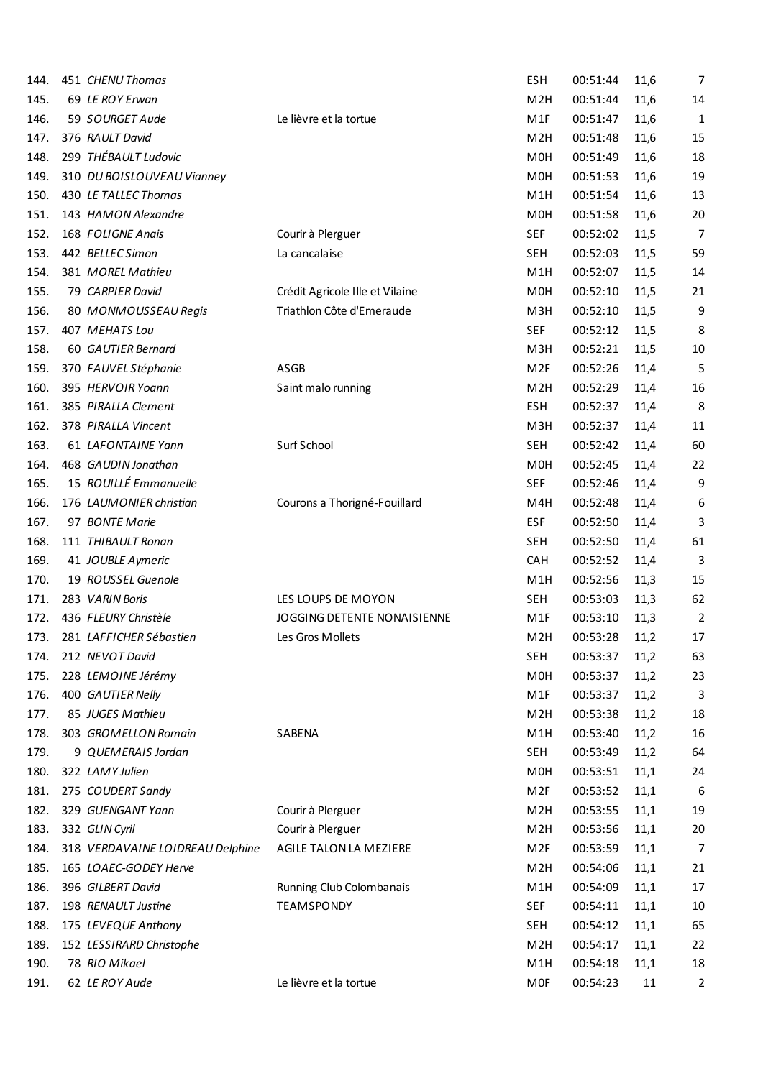| 144. | 451 CHENU Thomas                 |                                 | <b>ESH</b>       | 00:51:44 | 11,6 | $\overline{7}$ |
|------|----------------------------------|---------------------------------|------------------|----------|------|----------------|
| 145. | 69 LE ROY Erwan                  |                                 | M <sub>2</sub> H | 00:51:44 | 11,6 | 14             |
| 146. | 59 SOURGET Aude                  | Le lièvre et la tortue          | M <sub>1</sub> F | 00:51:47 | 11,6 | 1              |
| 147. | 376 RAULT David                  |                                 | M <sub>2</sub> H | 00:51:48 | 11,6 | 15             |
| 148. | 299 THÉBAULT Ludovic             |                                 | M <sub>0</sub> H | 00:51:49 | 11,6 | 18             |
| 149. | 310 DU BOISLOUVEAU Vianney       |                                 | M <sub>0</sub> H | 00:51:53 | 11,6 | 19             |
| 150. | 430 LE TALLEC Thomas             |                                 | M <sub>1</sub> H | 00:51:54 | 11,6 | 13             |
| 151. | 143 HAMON Alexandre              |                                 | M <sub>0</sub> H | 00:51:58 | 11,6 | 20             |
| 152. | 168 FOLIGNE Anais                | Courir à Plerguer               | <b>SEF</b>       | 00:52:02 | 11,5 | $\overline{7}$ |
| 153. | 442 BELLEC Simon                 | La cancalaise                   | <b>SEH</b>       | 00:52:03 | 11,5 | 59             |
| 154. | 381 MOREL Mathieu                |                                 | M <sub>1</sub> H | 00:52:07 | 11,5 | 14             |
| 155. | 79 CARPIER David                 | Crédit Agricole Ille et Vilaine | M <sub>0</sub> H | 00:52:10 | 11,5 | 21             |
| 156. | 80 MONMOUSSEAU Regis             | Triathlon Côte d'Emeraude       | M3H              | 00:52:10 | 11,5 | 9              |
| 157. | 407 MEHATS Lou                   |                                 | <b>SEF</b>       | 00:52:12 | 11,5 | 8              |
| 158. | 60 GAUTIER Bernard               |                                 | M3H              | 00:52:21 | 11,5 | $10\,$         |
| 159. | 370 FAUVEL Stéphanie             | ASGB                            | M <sub>2F</sub>  | 00:52:26 | 11,4 | 5              |
| 160. | 395 HERVOIR Yoann                | Saint malo running              | M <sub>2</sub> H | 00:52:29 | 11,4 | 16             |
| 161. | 385 PIRALLA Clement              |                                 | <b>ESH</b>       | 00:52:37 | 11,4 | 8              |
| 162. | 378 PIRALLA Vincent              |                                 | M3H              | 00:52:37 | 11,4 | 11             |
| 163. | 61 LAFONTAINE Yann               | Surf School                     | <b>SEH</b>       | 00:52:42 | 11,4 | 60             |
| 164. | 468 GAUDIN Jonathan              |                                 | M <sub>0</sub> H | 00:52:45 | 11,4 | 22             |
| 165. | 15 ROUILLÉ Emmanuelle            |                                 | <b>SEF</b>       | 00:52:46 | 11,4 | 9              |
| 166. | 176 LAUMONIER christian          | Courons a Thorigné-Fouillard    | M4H              | 00:52:48 | 11,4 | 6              |
| 167. | 97 BONTE Marie                   |                                 | <b>ESF</b>       | 00:52:50 | 11,4 | 3              |
| 168. | 111 THIBAULT Ronan               |                                 | <b>SEH</b>       | 00:52:50 | 11,4 | 61             |
| 169. | 41 JOUBLE Aymeric                |                                 | <b>CAH</b>       | 00:52:52 | 11,4 | 3              |
| 170. | 19 ROUSSEL Guenole               |                                 | M <sub>1</sub> H | 00:52:56 | 11,3 | 15             |
| 171. | 283 VARIN Boris                  | LES LOUPS DE MOYON              | <b>SEH</b>       | 00:53:03 | 11,3 | 62             |
| 172. | 436 FLEURY Christèle             | JOGGING DETENTE NONAISIENNE     | M1F              | 00:53:10 | 11,3 | 2              |
| 173. | 281 LAFFICHER Sébastien          | Les Gros Mollets                | M <sub>2</sub> H | 00:53:28 | 11,2 | 17             |
| 174. | 212 NEVOT David                  |                                 | <b>SEH</b>       | 00:53:37 | 11,2 | 63             |
| 175. | 228 LEMOINE Jérémy               |                                 | M0H              | 00:53:37 | 11,2 | 23             |
| 176. | 400 GAUTIER Nelly                |                                 | M1F              | 00:53:37 | 11,2 | 3              |
| 177. | 85 JUGES Mathieu                 |                                 | M <sub>2</sub> H | 00:53:38 | 11,2 | 18             |
| 178. | 303 GROMELLON Romain             | SABENA                          | M1H              | 00:53:40 | 11,2 | 16             |
| 179. | 9 QUEMERAIS Jordan               |                                 | SEH              | 00:53:49 | 11,2 | 64             |
| 180. | 322 LAMY Julien                  |                                 | M0H              | 00:53:51 | 11,1 | 24             |
| 181. | 275 COUDERT Sandy                |                                 | M <sub>2F</sub>  | 00:53:52 | 11,1 | 6              |
| 182. | 329 GUENGANT Yann                | Courir à Plerguer               | M <sub>2</sub> H | 00:53:55 | 11,1 | 19             |
| 183. | 332 GLIN Cyril                   | Courir à Plerguer               | M <sub>2</sub> H | 00:53:56 | 11,1 | 20             |
| 184. | 318 VERDAVAINE LOIDREAU Delphine | AGILE TALON LA MEZIERE          | M <sub>2F</sub>  | 00:53:59 | 11,1 | 7              |
| 185. | 165 LOAEC-GODEY Herve            |                                 | M <sub>2</sub> H | 00:54:06 | 11,1 | 21             |
| 186. | 396 GILBERT David                | Running Club Colombanais        | M1H              | 00:54:09 | 11,1 | 17             |
| 187. | 198 RENAULT Justine              | <b>TEAMSPONDY</b>               | <b>SEF</b>       | 00:54:11 | 11,1 | $10\,$         |
| 188. | 175 LEVEQUE Anthony              |                                 | <b>SEH</b>       | 00:54:12 | 11,1 | 65             |
| 189. | 152 LESSIRARD Christophe         |                                 | M <sub>2</sub> H | 00:54:17 | 11,1 | 22             |
| 190. | 78 RIO Mikael                    |                                 | M1H              | 00:54:18 | 11,1 | 18             |
| 191. | 62 LE ROY Aude                   | Le lièvre et la tortue          | <b>MOF</b>       | 00:54:23 | 11   | $\mathbf{2}$   |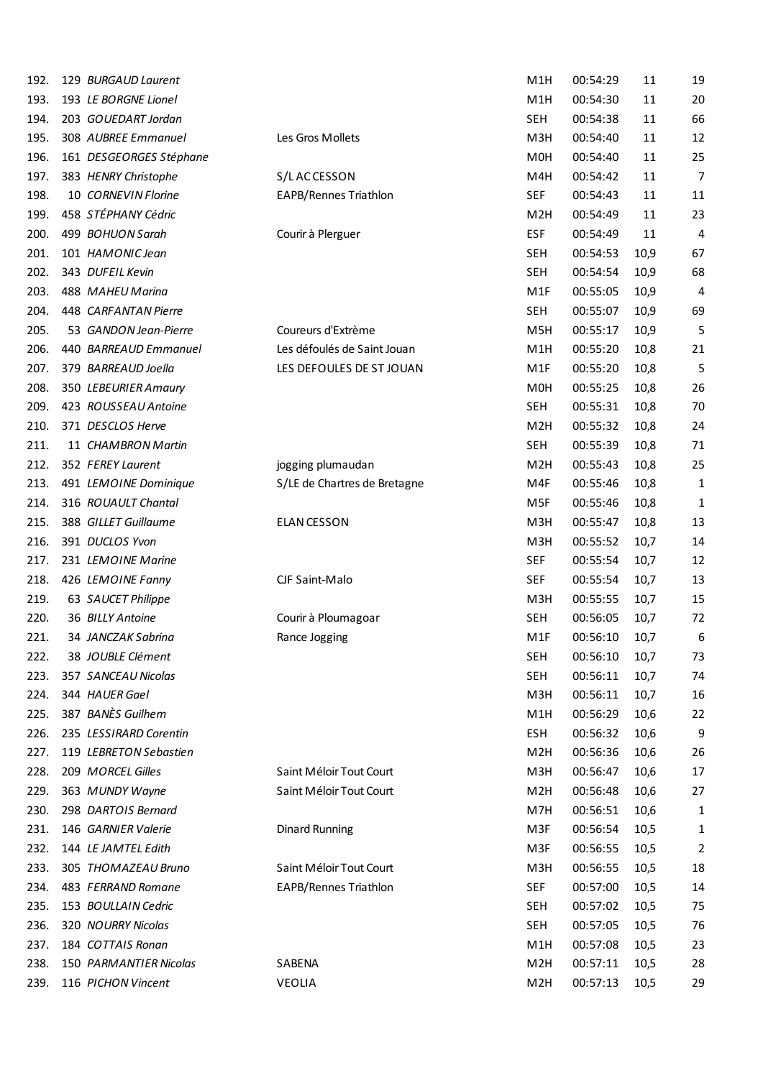| 192. | 129 BURGAUD Laurent     |                              | M <sub>1</sub> H | 00:54:29 | 11   | 19             |
|------|-------------------------|------------------------------|------------------|----------|------|----------------|
| 193. | 193 LE BORGNE Lionel    |                              | M <sub>1</sub> H | 00:54:30 | 11   | 20             |
| 194. | 203 GOUEDART Jordan     |                              | <b>SEH</b>       | 00:54:38 | 11   | 66             |
| 195. | 308 AUBREE Emmanuel     | Les Gros Mollets             | M3H              | 00:54:40 | 11   | 12             |
| 196. | 161 DESGEORGES Stéphane |                              | M <sub>0</sub> H | 00:54:40 | 11   | 25             |
| 197. | 383 HENRY Christophe    | S/LACCESSON                  | M4H              | 00:54:42 | 11   | $\overline{7}$ |
| 198. | 10 CORNEVIN Florine     | EAPB/Rennes Triathlon        | <b>SEF</b>       | 00:54:43 | 11   | 11             |
| 199. | 458 STÉPHANY Cédric     |                              | M <sub>2</sub> H | 00:54:49 | 11   | 23             |
| 200. | 499 BOHUON Sarah        | Courir à Plerguer            | <b>ESF</b>       | 00:54:49 | 11   | 4              |
| 201. | 101 HAMONIC Jean        |                              | <b>SEH</b>       | 00:54:53 | 10,9 | 67             |
| 202. | 343 DUFEIL Kevin        |                              | <b>SEH</b>       | 00:54:54 | 10,9 | 68             |
| 203. | 488 MAHEU Marina        |                              | M <sub>1</sub> F | 00:55:05 | 10,9 | 4              |
| 204. | 448 CARFANTAN Pierre    |                              | <b>SEH</b>       | 00:55:07 | 10,9 | 69             |
| 205. | 53 GANDON Jean-Pierre   | Coureurs d'Extrème           | M <sub>5</sub> H | 00:55:17 | 10,9 | 5              |
| 206. | 440 BARREAUD Emmanuel   | Les défoulés de Saint Jouan  | M <sub>1</sub> H | 00:55:20 | 10,8 | 21             |
|      | 379 BARREAUD Joella     |                              |                  |          |      |                |
| 207. |                         | LES DEFOULES DE ST JOUAN     | M <sub>1</sub> F | 00:55:20 | 10,8 | 5              |
| 208. | 350 LEBEURIER Amaury    |                              | M <sub>0</sub> H | 00:55:25 | 10,8 | 26             |
| 209. | 423 ROUSSEAU Antoine    |                              | <b>SEH</b>       | 00:55:31 | 10,8 | 70             |
| 210. | 371 DESCLOS Herve       |                              | M <sub>2</sub> H | 00:55:32 | 10,8 | 24             |
| 211. | 11 CHAMBRON Martin      |                              | <b>SEH</b>       | 00:55:39 | 10,8 | 71             |
| 212. | 352 FEREY Laurent       | jogging plumaudan            | M <sub>2</sub> H | 00:55:43 | 10,8 | 25             |
| 213. | 491 LEMOINE Dominique   | S/LE de Chartres de Bretagne | M4F              | 00:55:46 | 10,8 | 1              |
| 214. | 316 ROUAULT Chantal     |                              | M5F              | 00:55:46 | 10,8 | 1              |
| 215. | 388 GILLET Guillaume    | <b>ELAN CESSON</b>           | M3H              | 00:55:47 | 10,8 | 13             |
| 216. | 391 DUCLOS Yvon         |                              | M3H              | 00:55:52 | 10,7 | 14             |
| 217. | 231 LEMOINE Marine      |                              | <b>SEF</b>       | 00:55:54 | 10,7 | 12             |
| 218. | 426 LEMOINE Fanny       | CJF Saint-Malo               | <b>SEF</b>       | 00:55:54 | 10,7 | 13             |
| 219. | 63 SAUCET Philippe      |                              | M3H              | 00:55:55 | 10,7 | 15             |
| 220. | 36 BILLY Antoine        | Courir à Ploumagoar          | <b>SEH</b>       | 00:56:05 | 10,7 | 72             |
| 221. | 34 JANCZAK Sabrina      | Rance Jogging                | M <sub>1</sub> F | 00:56:10 | 10,7 | 6              |
| 222. | 38 JOUBLE Clément       |                              | <b>SEH</b>       | 00:56:10 | 10,7 | 73             |
| 223. | 357 SANCEAU Nicolas     |                              | <b>SEH</b>       | 00:56:11 | 10,7 | 74             |
| 224. | 344 HAUER Gael          |                              | M <sub>3</sub> H | 00:56:11 | 10,7 | 16             |
| 225. | 387 BANÈS Guilhem       |                              | M <sub>1</sub> H | 00:56:29 | 10,6 | 22             |
| 226. | 235 LESSIRARD Corentin  |                              | <b>ESH</b>       | 00:56:32 | 10,6 | 9              |
| 227. | 119 LEBRETON Sebastien  |                              | M <sub>2</sub> H | 00:56:36 | 10,6 | 26             |
| 228. | 209 MORCEL Gilles       | Saint Méloir Tout Court      | M <sub>3</sub> H | 00:56:47 | 10,6 | 17             |
| 229. | 363 MUNDY Wayne         | Saint Méloir Tout Court      | M <sub>2</sub> H | 00:56:48 | 10,6 | 27             |
| 230. | 298 DARTOIS Bernard     |                              | M7H              | 00:56:51 | 10,6 | 1              |
| 231. | 146 GARNIER Valerie     | <b>Dinard Running</b>        | M3F              | 00:56:54 | 10,5 | 1              |
| 232. | 144 LE JAMTEL Edith     |                              | M3F              | 00:56:55 | 10,5 | 2              |
| 233. | 305 THOMAZEAU Bruno     | Saint Méloir Tout Court      | M <sub>3</sub> H | 00:56:55 | 10,5 | 18             |
| 234. | 483 FERRAND Romane      | <b>EAPB/Rennes Triathlon</b> | <b>SEF</b>       | 00:57:00 | 10,5 | 14             |
| 235. | 153 BOULLAIN Cedric     |                              | <b>SEH</b>       | 00:57:02 | 10,5 | 75             |
| 236. | 320 NOURRY Nicolas      |                              | <b>SEH</b>       | 00:57:05 | 10,5 | 76             |
| 237. | 184 COTTAIS Ronan       |                              | M <sub>1</sub> H | 00:57:08 | 10,5 | 23             |
| 238. | 150 PARMANTIER Nicolas  | SABENA                       | M <sub>2</sub> H | 00:57:11 | 10,5 | 28             |
|      |                         |                              |                  |          |      |                |
| 239. | 116 PICHON Vincent      | VEOLIA                       | M <sub>2</sub> H | 00:57:13 | 10,5 | 29             |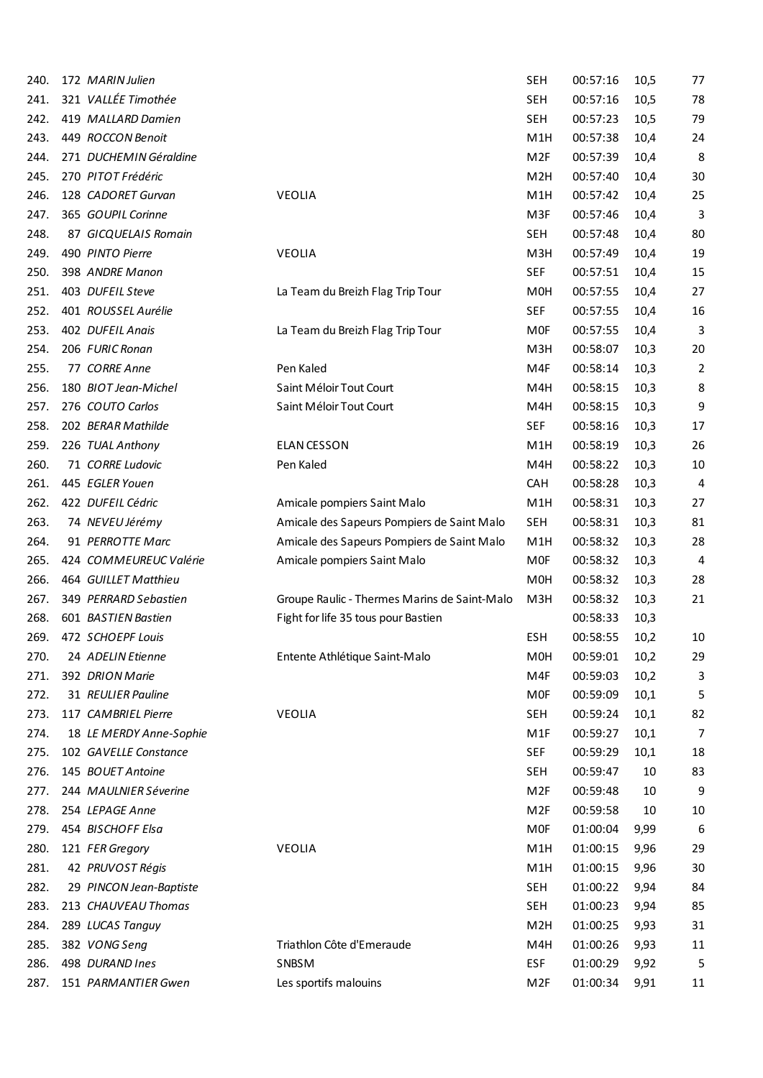| 240. | 172 MARIN Julien        |                                              | SEH              | 00:57:16 | 10,5 | 77     |
|------|-------------------------|----------------------------------------------|------------------|----------|------|--------|
| 241. | 321 VALLÉE Timothée     |                                              | <b>SEH</b>       | 00:57:16 | 10,5 | 78     |
| 242. | 419 MALLARD Damien      |                                              | <b>SEH</b>       | 00:57:23 | 10,5 | 79     |
| 243. | 449 ROCCON Benoit       |                                              | M <sub>1</sub> H | 00:57:38 | 10,4 | 24     |
| 244. | 271 DUCHEMIN Géraldine  |                                              | M <sub>2F</sub>  | 00:57:39 | 10,4 | 8      |
| 245. | 270 PITOT Frédéric      |                                              | M <sub>2</sub> H | 00:57:40 | 10,4 | 30     |
| 246. | 128 CADORET Gurvan      | VEOLIA                                       | M <sub>1</sub> H | 00:57:42 | 10,4 | 25     |
| 247. | 365 GOUPIL Corinne      |                                              | M3F              | 00:57:46 | 10,4 | 3      |
| 248. | 87 GICQUELAIS Romain    |                                              | <b>SEH</b>       | 00:57:48 | 10,4 | 80     |
| 249. | 490 PINTO Pierre        | VEOLIA                                       | M3H              | 00:57:49 | 10,4 | 19     |
| 250. | 398 ANDRE Manon         |                                              | <b>SEF</b>       | 00:57:51 | 10,4 | 15     |
| 251. | 403 DUFEIL Steve        | La Team du Breizh Flag Trip Tour             | M <sub>0</sub> H | 00:57:55 | 10,4 | 27     |
| 252. | 401 ROUSSEL Aurélie     |                                              | <b>SEF</b>       | 00:57:55 | 10,4 | 16     |
| 253. | 402 DUFEIL Anais        | La Team du Breizh Flag Trip Tour             | <b>MOF</b>       | 00:57:55 | 10,4 | 3      |
| 254. | 206 FURIC Ronan         |                                              | M <sub>3</sub> H | 00:58:07 | 10,3 | 20     |
| 255. | 77 CORRE Anne           | Pen Kaled                                    | M4F              | 00:58:14 | 10,3 | 2      |
| 256. | 180 BIOT Jean-Michel    | Saint Méloir Tout Court                      | M4H              | 00:58:15 | 10,3 | 8      |
| 257. | 276 COUTO Carlos        | Saint Méloir Tout Court                      | M4H              | 00:58:15 | 10,3 | 9      |
| 258. | 202 BERAR Mathilde      |                                              | <b>SEF</b>       | 00:58:16 | 10,3 | 17     |
| 259. | 226 TUAL Anthony        | <b>ELAN CESSON</b>                           | M <sub>1</sub> H | 00:58:19 | 10,3 | 26     |
| 260. | 71 CORRE Ludovic        | Pen Kaled                                    | M4H              | 00:58:22 | 10,3 | 10     |
| 261. | 445 EGLER Youen         |                                              | CAH              | 00:58:28 | 10,3 | 4      |
| 262. | 422 DUFEIL Cédric       | Amicale pompiers Saint Malo                  | M <sub>1</sub> H | 00:58:31 | 10,3 | 27     |
| 263. | 74 NEVEU Jérémy         | Amicale des Sapeurs Pompiers de Saint Malo   | SEH              | 00:58:31 | 10,3 | 81     |
| 264. | 91 PERROTTE Marc        | Amicale des Sapeurs Pompiers de Saint Malo   | M <sub>1</sub> H | 00:58:32 | 10,3 | 28     |
| 265. | 424 COMMEUREUC Valérie  | Amicale pompiers Saint Malo                  | <b>MOF</b>       | 00:58:32 | 10,3 | 4      |
| 266. | 464 GUILLET Matthieu    |                                              | M <sub>0</sub> H | 00:58:32 | 10,3 | 28     |
| 267. | 349 PERRARD Sebastien   | Groupe Raulic - Thermes Marins de Saint-Malo | M3H              | 00:58:32 | 10,3 | 21     |
| 268. | 601 BASTIEN Bastien     | Fight for life 35 tous pour Bastien          |                  | 00:58:33 | 10,3 |        |
| 269. | 472 SCHOEPF Louis       |                                              | <b>ESH</b>       | 00:58:55 | 10,2 | $10\,$ |
| 270. | 24 ADELIN Etienne       | Entente Athlétique Saint-Malo                | M <sub>0</sub> H | 00:59:01 | 10,2 | 29     |
| 271. | 392 DRION Marie         |                                              | M4F              | 00:59:03 | 10,2 | 3      |
| 272. | 31 REULIER Pauline      |                                              | <b>MOF</b>       | 00:59:09 | 10,1 | 5      |
| 273. | 117 CAMBRIEL Pierre     | VEOLIA                                       | <b>SEH</b>       | 00:59:24 | 10,1 | 82     |
| 274. | 18 LE MERDY Anne-Sophie |                                              | M <sub>1</sub> F | 00:59:27 | 10,1 | 7      |
| 275. | 102 GAVELLE Constance   |                                              | <b>SEF</b>       | 00:59:29 | 10,1 | 18     |
| 276. | 145 BOUET Antoine       |                                              | <b>SEH</b>       | 00:59:47 | 10   | 83     |
| 277. | 244 MAULNIER Séverine   |                                              | M <sub>2F</sub>  | 00:59:48 | 10   | 9      |
| 278. | 254 LEPAGE Anne         |                                              | M <sub>2F</sub>  | 00:59:58 | 10   | 10     |
| 279. | 454 BISCHOFF Elsa       |                                              | <b>MOF</b>       | 01:00:04 | 9,99 | 6      |
| 280. | 121 FER Gregory         | VEOLIA                                       | M1H              | 01:00:15 | 9,96 | 29     |
| 281. | 42 PRUVOST Régis        |                                              | M <sub>1</sub> H | 01:00:15 | 9,96 | 30     |
| 282. | 29 PINCON Jean-Baptiste |                                              | <b>SEH</b>       | 01:00:22 | 9,94 | 84     |
| 283. | 213 CHAUVEAU Thomas     |                                              | <b>SEH</b>       | 01:00:23 | 9,94 | 85     |
| 284. | 289 LUCAS Tanguy        |                                              | M <sub>2</sub> H | 01:00:25 | 9,93 | 31     |
| 285. | 382 VONG Seng           | Triathlon Côte d'Emeraude                    | M4H              | 01:00:26 | 9,93 | 11     |
| 286. | 498 DURAND Ines         | SNBSM                                        | <b>ESF</b>       | 01:00:29 | 9,92 | 5      |
| 287. | 151 PARMANTIER Gwen     | Les sportifs malouins                        | M <sub>2F</sub>  | 01:00:34 | 9,91 | 11     |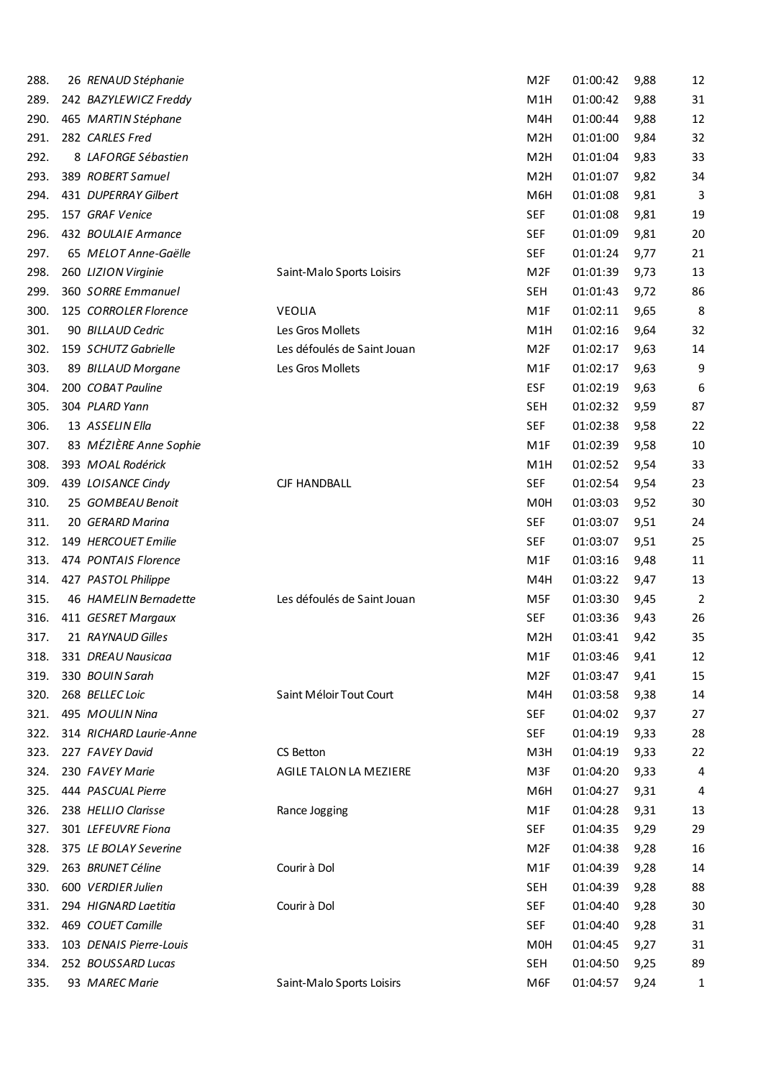| 288. | 26 RENAUD Stéphanie     |                             | M <sub>2F</sub>  | 01:00:42 | 9,88 | 12             |
|------|-------------------------|-----------------------------|------------------|----------|------|----------------|
| 289. | 242 BAZYLEWICZ Freddy   |                             | M <sub>1</sub> H | 01:00:42 | 9,88 | 31             |
| 290. | 465 MARTIN Stéphane     |                             | M4H              | 01:00:44 | 9,88 | 12             |
| 291. | 282 CARLES Fred         |                             | M <sub>2</sub> H | 01:01:00 | 9,84 | 32             |
| 292. | 8 LAFORGE Sébastien     |                             | M <sub>2</sub> H | 01:01:04 | 9,83 | 33             |
| 293. | 389 ROBERT Samuel       |                             | M <sub>2</sub> H | 01:01:07 | 9,82 | 34             |
| 294. | 431 DUPERRAY Gilbert    |                             | M6H              | 01:01:08 | 9,81 | 3              |
| 295. | 157 GRAF Venice         |                             | <b>SEF</b>       | 01:01:08 | 9,81 | 19             |
| 296. | 432 BOULAIE Armance     |                             | <b>SEF</b>       | 01:01:09 | 9,81 | 20             |
| 297. | 65 MELOT Anne-Gaëlle    |                             | <b>SEF</b>       | 01:01:24 | 9,77 | 21             |
| 298. | 260 LIZION Virginie     | Saint-Malo Sports Loisirs   | M <sub>2F</sub>  | 01:01:39 | 9,73 | 13             |
| 299. | 360 SORRE Emmanuel      |                             | <b>SEH</b>       | 01:01:43 | 9,72 | 86             |
| 300. | 125 CORROLER Florence   | <b>VEOLIA</b>               | M1F              | 01:02:11 | 9,65 | 8              |
| 301. | 90 BILLAUD Cedric       | Les Gros Mollets            | M <sub>1</sub> H | 01:02:16 | 9,64 | 32             |
| 302. | 159 SCHUTZ Gabrielle    | Les défoulés de Saint Jouan | M <sub>2F</sub>  | 01:02:17 | 9,63 | 14             |
| 303. | 89 BILLAUD Morgane      | Les Gros Mollets            | M <sub>1</sub> F | 01:02:17 | 9,63 | 9              |
| 304. | 200 COBAT Pauline       |                             | <b>ESF</b>       | 01:02:19 | 9,63 | 6              |
| 305. | 304 PLARD Yann          |                             | <b>SEH</b>       | 01:02:32 | 9,59 | 87             |
| 306. | 13 ASSELIN Ella         |                             | <b>SEF</b>       | 01:02:38 | 9,58 | 22             |
| 307. | 83 MÉZIÈRE Anne Sophie  |                             | M <sub>1</sub> F | 01:02:39 | 9,58 | 10             |
| 308. | 393 MOAL Rodérick       |                             | M <sub>1</sub> H | 01:02:52 | 9,54 | 33             |
| 309. | 439 LOISANCE Cindy      | <b>CJF HANDBALL</b>         | <b>SEF</b>       | 01:02:54 | 9,54 | 23             |
| 310. | 25 GOMBEAU Benoit       |                             | M <sub>0</sub> H | 01:03:03 | 9,52 | 30             |
| 311. | 20 GERARD Marina        |                             | <b>SEF</b>       | 01:03:07 | 9,51 | 24             |
| 312. | 149 HERCOUET Emilie     |                             | <b>SEF</b>       | 01:03:07 | 9,51 | 25             |
| 313. | 474 PONTAIS Florence    |                             | M <sub>1</sub> F | 01:03:16 | 9,48 | 11             |
| 314. | 427 PASTOL Philippe     |                             | M4H              | 01:03:22 | 9,47 | 13             |
| 315. | 46 HAMELIN Bernadette   | Les défoulés de Saint Jouan | M5F              | 01:03:30 | 9,45 | $\overline{2}$ |
| 316. | 411 GESRET Margaux      |                             | <b>SEF</b>       | 01:03:36 | 9,43 | 26             |
| 317. | 21 RAYNAUD Gilles       |                             | M <sub>2</sub> H | 01:03:41 | 9,42 | 35             |
| 318. | 331 DREAU Nausicaa      |                             | M1F              | 01:03:46 | 9,41 | 12             |
| 319. | 330 BOUIN Sarah         |                             | M <sub>2F</sub>  | 01:03:47 | 9,41 | 15             |
| 320. | 268 BELLEC Loic         | Saint Méloir Tout Court     | M4H              | 01:03:58 | 9,38 | 14             |
| 321. | 495 MOULIN Nina         |                             | <b>SEF</b>       | 01:04:02 | 9,37 | 27             |
| 322. | 314 RICHARD Laurie-Anne |                             | <b>SEF</b>       | 01:04:19 | 9,33 | 28             |
| 323. | 227 FAVEY David         | CS Betton                   | M <sub>3</sub> H | 01:04:19 | 9,33 | 22             |
| 324. | 230 FAVEY Marie         | AGILE TALON LA MEZIERE      | M3F              | 01:04:20 | 9,33 | 4              |
| 325. | 444 PASCUAL Pierre      |                             | M6H              | 01:04:27 | 9,31 | 4              |
| 326. | 238 HELLIO Clarisse     | Rance Jogging               | M1F              | 01:04:28 | 9,31 | 13             |
| 327. | 301 LEFEUVRE Fiona      |                             | <b>SEF</b>       | 01:04:35 | 9,29 | 29             |
| 328. | 375 LE BOLAY Severine   |                             | M <sub>2F</sub>  | 01:04:38 | 9,28 | 16             |
| 329. | 263 BRUNET Céline       | Courir à Dol                | M1F              | 01:04:39 | 9,28 | 14             |
| 330. | 600 VERDIER Julien      |                             | SEH              | 01:04:39 | 9,28 | 88             |
| 331. | 294 HIGNARD Laetitia    | Courir à Dol                | SEF              | 01:04:40 | 9,28 | 30             |
| 332. | 469 COUET Camille       |                             | <b>SEF</b>       | 01:04:40 | 9,28 | 31             |
| 333. | 103 DENAIS Pierre-Louis |                             | M <sub>0</sub> H | 01:04:45 | 9,27 | 31             |
| 334. | 252 BOUSSARD Lucas      |                             | SEH              | 01:04:50 | 9,25 | 89             |
| 335. | 93 MAREC Marie          | Saint-Malo Sports Loisirs   | M6F              | 01:04:57 | 9,24 | 1              |
|      |                         |                             |                  |          |      |                |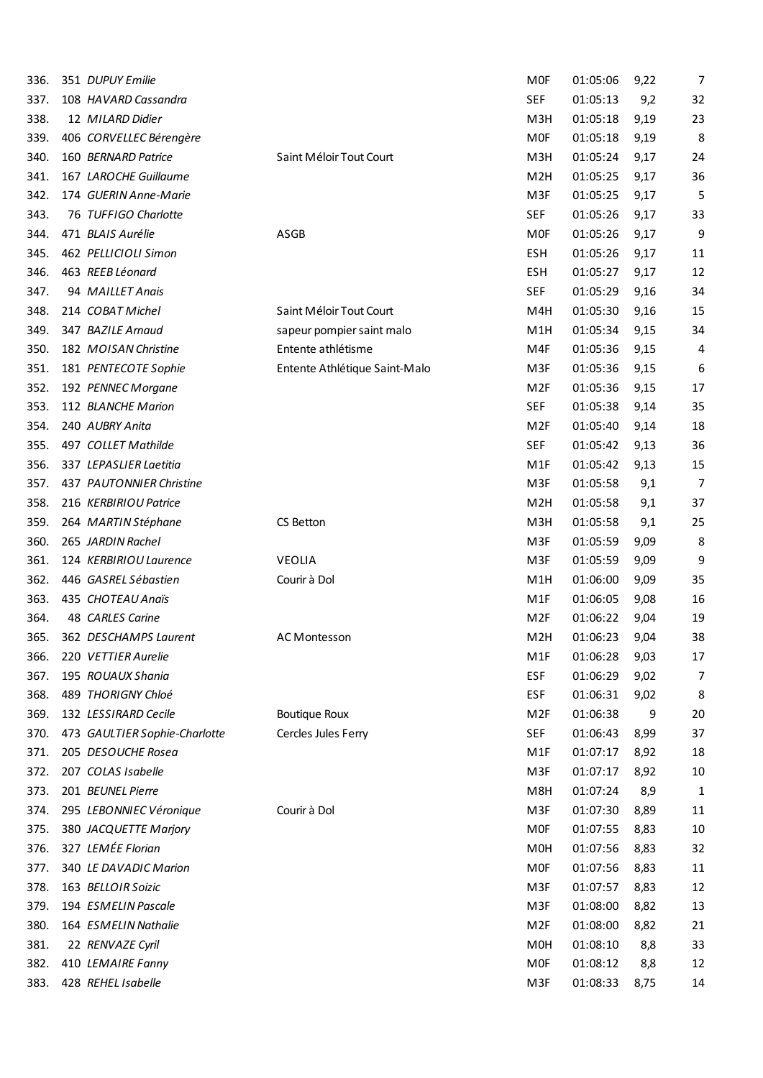| 336. | 351 DUPUY Emilie              |                               | <b>MOF</b>       | 01:05:06 | 9,22 | 7  |
|------|-------------------------------|-------------------------------|------------------|----------|------|----|
| 337. | 108 HAVARD Cassandra          |                               | <b>SEF</b>       | 01:05:13 | 9,2  | 32 |
| 338. | 12 MILARD Didier              |                               | M3H              | 01:05:18 | 9,19 | 23 |
| 339. | 406 CORVELLEC Bérengère       |                               | <b>MOF</b>       | 01:05:18 | 9,19 | 8  |
| 340. | 160 BERNARD Patrice           | Saint Méloir Tout Court       | M3H              | 01:05:24 | 9,17 | 24 |
| 341. | 167 LAROCHE Guillaume         |                               | M <sub>2</sub> H | 01:05:25 | 9,17 | 36 |
| 342. | 174 GUERIN Anne-Marie         |                               | M3F              | 01:05:25 | 9,17 | 5  |
| 343. | 76 TUFFIGO Charlotte          |                               | <b>SEF</b>       | 01:05:26 | 9,17 | 33 |
| 344. | 471 BLAIS Aurélie             | ASGB                          | <b>MOF</b>       | 01:05:26 | 9,17 | 9  |
| 345. | 462 PELLICIOLI Simon          |                               | ESH              | 01:05:26 | 9,17 | 11 |
| 346. | 463 REEB Léonard              |                               | <b>ESH</b>       | 01:05:27 | 9,17 | 12 |
| 347. | 94 MAILLET Anais              |                               | <b>SEF</b>       | 01:05:29 | 9,16 | 34 |
| 348. | 214 COBAT Michel              | Saint Méloir Tout Court       | M4H              | 01:05:30 | 9,16 | 15 |
| 349. | 347 BAZILE Arnaud             | sapeur pompier saint malo     | M <sub>1</sub> H | 01:05:34 | 9,15 | 34 |
| 350. | 182 MOISAN Christine          | Entente athlétisme            | M4F              | 01:05:36 | 9,15 | 4  |
| 351. | 181 PENTECOTE Sophie          | Entente Athlétique Saint-Malo | M3F              | 01:05:36 | 9,15 | 6  |
| 352. | 192 PENNEC Morgane            |                               | M <sub>2F</sub>  | 01:05:36 | 9,15 | 17 |
| 353. | 112 BLANCHE Marion            |                               | <b>SEF</b>       | 01:05:38 | 9,14 | 35 |
| 354. | 240 AUBRY Anita               |                               | M <sub>2F</sub>  | 01:05:40 | 9,14 | 18 |
| 355. | 497 COLLET Mathilde           |                               | <b>SEF</b>       | 01:05:42 | 9,13 | 36 |
| 356. | 337 LEPASLIER Laetitia        |                               | M <sub>1</sub> F | 01:05:42 | 9,13 | 15 |
| 357. | 437 PAUTONNIER Christine      |                               | M3F              | 01:05:58 | 9,1  | 7  |
| 358. | 216 KERBIRIOU Patrice         |                               | M <sub>2</sub> H | 01:05:58 | 9,1  | 37 |
| 359. | 264 MARTIN Stéphane           | CS Betton                     | M3H              | 01:05:58 | 9,1  | 25 |
| 360. | 265 JARDIN Rachel             |                               | M3F              | 01:05:59 | 9,09 | 8  |
| 361. | 124 KERBIRIOU Laurence        | <b>VEOLIA</b>                 | M3F              | 01:05:59 | 9,09 | 9  |
| 362. | 446 GASREL Sébastien          | Courir à Dol                  | M1H              | 01:06:00 | 9,09 | 35 |
| 363. | 435 CHOTEAU Anaïs             |                               | M1F              | 01:06:05 | 9,08 | 16 |
| 364. | 48 CARLES Carine              |                               | M <sub>2F</sub>  | 01:06:22 | 9,04 | 19 |
| 365. | 362 DESCHAMPS Laurent         | <b>AC Montesson</b>           | M <sub>2</sub> H | 01:06:23 | 9,04 | 38 |
| 366. | 220 VETTIER Aurelie           |                               | M1F              | 01:06:28 | 9,03 | 17 |
| 367. | 195 ROUAUX Shania             |                               | <b>ESF</b>       | 01:06:29 | 9,02 | 7  |
| 368. | 489 THORIGNY Chloé            |                               | <b>ESF</b>       | 01:06:31 | 9,02 | 8  |
| 369. | 132 LESSIRARD Cecile          | <b>Boutique Roux</b>          | M <sub>2F</sub>  | 01:06:38 | 9    | 20 |
| 370. | 473 GAULTIER Sophie-Charlotte | Cercles Jules Ferry           | <b>SEF</b>       | 01:06:43 | 8,99 | 37 |
| 371. | 205 DESOUCHE Rosea            |                               | M <sub>1</sub> F | 01:07:17 | 8,92 | 18 |
| 372. | 207 COLAS Isabelle            |                               | M3F              | 01:07:17 | 8,92 | 10 |
| 373. | 201 BEUNEL Pierre             |                               | M8H              | 01:07:24 | 8,9  | 1  |
| 374. | 295 LEBONNIEC Véronique       | Courir à Dol                  | M3F              | 01:07:30 | 8,89 | 11 |
| 375. | 380 JACQUETTE Marjory         |                               | <b>MOF</b>       | 01:07:55 | 8,83 | 10 |
| 376. | 327 LEMÉE Florian             |                               | M0H              | 01:07:56 | 8,83 | 32 |
| 377. | 340 LE DAVADIC Marion         |                               | <b>MOF</b>       | 01:07:56 | 8,83 | 11 |
| 378. | 163 BELLOIR Soizic            |                               | M3F              | 01:07:57 | 8,83 | 12 |
| 379. | 194 ESMELIN Pascale           |                               | M3F              | 01:08:00 | 8,82 | 13 |
| 380. | 164 ESMELIN Nathalie          |                               | M <sub>2F</sub>  | 01:08:00 | 8,82 | 21 |
| 381. | 22 RENVAZE Cyril              |                               | M <sub>OH</sub>  | 01:08:10 | 8,8  | 33 |
| 382. | 410 LEMAIRE Fanny             |                               | <b>MOF</b>       | 01:08:12 | 8,8  | 12 |
| 383. | 428 REHEL Isabelle            |                               | M3F              | 01:08:33 | 8,75 | 14 |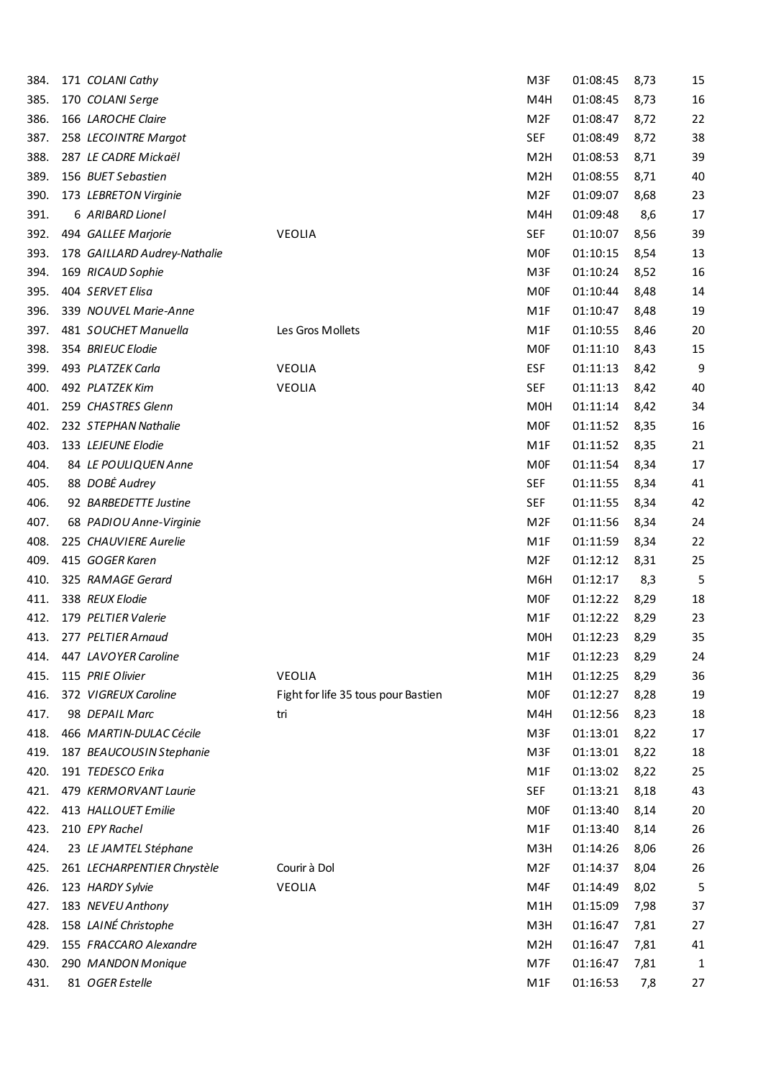| 384. | 171 COLANI Cathy                     |                                     | M3F               | 01:08:45 | 8,73 | 15           |
|------|--------------------------------------|-------------------------------------|-------------------|----------|------|--------------|
| 385. | 170 COLANI Serge                     |                                     | M4H               | 01:08:45 | 8,73 | 16           |
| 386. | 166 LAROCHE Claire                   |                                     | M <sub>2F</sub>   | 01:08:47 | 8,72 | 22           |
| 387. | 258 LECOINTRE Margot                 |                                     | <b>SEF</b>        | 01:08:49 | 8,72 | 38           |
| 388. | 287 LE CADRE Mickaël                 |                                     | M <sub>2</sub> H  | 01:08:53 | 8,71 | 39           |
| 389. | 156 BUET Sebastien                   |                                     | M <sub>2</sub> H  | 01:08:55 | 8,71 | 40           |
| 390. | 173 LEBRETON Virginie                |                                     | M <sub>2F</sub>   | 01:09:07 | 8,68 | 23           |
| 391. | 6 ARIBARD Lionel                     |                                     | M4H               | 01:09:48 | 8,6  | 17           |
| 392. | 494 GALLEE Marjorie                  | <b>VEOLIA</b>                       | <b>SEF</b>        | 01:10:07 | 8,56 | 39           |
| 393. | 178 GAILLARD Audrey-Nathalie         |                                     | <b>MOF</b>        | 01:10:15 | 8,54 | 13           |
| 394. | 169 RICAUD Sophie                    |                                     | M3F               | 01:10:24 | 8,52 | 16           |
| 395. | 404 SERVET Elisa                     |                                     | <b>MOF</b>        | 01:10:44 | 8,48 | 14           |
| 396. | 339 NOUVEL Marie-Anne                |                                     | M1F               | 01:10:47 | 8,48 | 19           |
| 397. | 481 SOUCHET Manuella                 | Les Gros Mollets                    | M <sub>1</sub> F  | 01:10:55 | 8,46 | 20           |
| 398. | 354 BRIEUC Elodie                    |                                     | <b>MOF</b>        | 01:11:10 | 8,43 | 15           |
| 399. | 493 PLATZEK Carla                    | <b>VEOLIA</b>                       | <b>ESF</b>        | 01:11:13 | 8,42 | 9            |
| 400. | 492 PLATZEK Kim                      | <b>VEOLIA</b>                       | <b>SEF</b>        | 01:11:13 | 8,42 | 40           |
| 401. | 259 CHASTRES Glenn                   |                                     | M0H               | 01:11:14 | 8,42 | 34           |
| 402. | 232 STEPHAN Nathalie                 |                                     | <b>MOF</b>        | 01:11:52 | 8,35 | 16           |
| 403. | 133 LEJEUNE Elodie                   |                                     | M <sub>1</sub> F  | 01:11:52 | 8,35 | 21           |
| 404. | 84 LE POULIQUEN Anne                 |                                     | <b>MOF</b>        | 01:11:54 | 8,34 | 17           |
| 405. | 88 DOBĖ Audrey                       |                                     | <b>SEF</b>        | 01:11:55 | 8,34 | 41           |
| 406. | 92 BARBEDETTE Justine                |                                     | <b>SEF</b>        | 01:11:55 | 8,34 | 42           |
| 407. | 68 PADIOU Anne-Virginie              |                                     | M <sub>2F</sub>   | 01:11:56 | 8,34 | 24           |
| 408. | 225 CHAUVIERE Aurelie                |                                     | M1F               | 01:11:59 | 8,34 | 22           |
|      | 415 GOGER Karen                      |                                     | M <sub>2F</sub>   | 01:12:12 |      | 25           |
| 409. |                                      |                                     |                   |          | 8,31 |              |
| 410. | 325 RAMAGE Gerard<br>338 REUX Elodie |                                     | M6H<br><b>MOF</b> | 01:12:17 | 8,3  | 5            |
| 411. |                                      |                                     |                   | 01:12:22 | 8,29 | 18           |
| 412. | 179 PELTIER Valerie                  |                                     | M1F               | 01:12:22 | 8,29 | 23           |
| 413. | 277 PELTIER Arnaud                   |                                     | M <sub>OH</sub>   | 01:12:23 | 8,29 | 35           |
| 414. | 447 LAVOYER Caroline                 |                                     | M <sub>1F</sub>   | 01:12:23 | 8,29 | 24           |
| 415. | 115 PRIE Olivier                     | VEOLIA                              | M1H               | 01:12:25 | 8,29 | 36           |
| 416. | 372 VIGREUX Caroline                 | Fight for life 35 tous pour Bastien | <b>MOF</b>        | 01:12:27 | 8,28 | 19           |
| 417. | 98 DEPAIL Marc                       | tri                                 | M4H               | 01:12:56 | 8,23 | 18           |
| 418. | 466 MARTIN-DULAC Cécile              |                                     | M3F               | 01:13:01 | 8,22 | 17           |
| 419. | 187 BEAUCOUSIN Stephanie             |                                     | M3F               | 01:13:01 | 8,22 | 18           |
| 420. | 191 TEDESCO Erika                    |                                     | M1F               | 01:13:02 | 8,22 | 25           |
| 421. | 479 KERMORVANT Laurie                |                                     | <b>SEF</b>        | 01:13:21 | 8,18 | 43           |
| 422. | 413 HALLOUET Emilie                  |                                     | <b>MOF</b>        | 01:13:40 | 8,14 | 20           |
| 423. | 210 EPY Rachel                       |                                     | M1F               | 01:13:40 | 8,14 | 26           |
| 424. | 23 LE JAMTEL Stéphane                |                                     | M3H               | 01:14:26 | 8,06 | 26           |
| 425. | 261 LECHARPENTIER Chrystèle          | Courir à Dol                        | M <sub>2F</sub>   | 01:14:37 | 8,04 | 26           |
| 426. | 123 HARDY Sylvie                     | VEOLIA                              | M4F               | 01:14:49 | 8,02 | 5            |
| 427. | 183 NEVEU Anthony                    |                                     | M1H               | 01:15:09 | 7,98 | 37           |
| 428. | 158 LAINÉ Christophe                 |                                     | M3H               | 01:16:47 | 7,81 | 27           |
| 429. | 155 FRACCARO Alexandre               |                                     | M <sub>2</sub> H  | 01:16:47 | 7,81 | 41           |
| 430. | 290 MANDON Monique                   |                                     | M7F               | 01:16:47 | 7,81 | $\mathbf{1}$ |
| 431. | 81 OGER Estelle                      |                                     | M1F               | 01:16:53 | 7,8  | 27           |